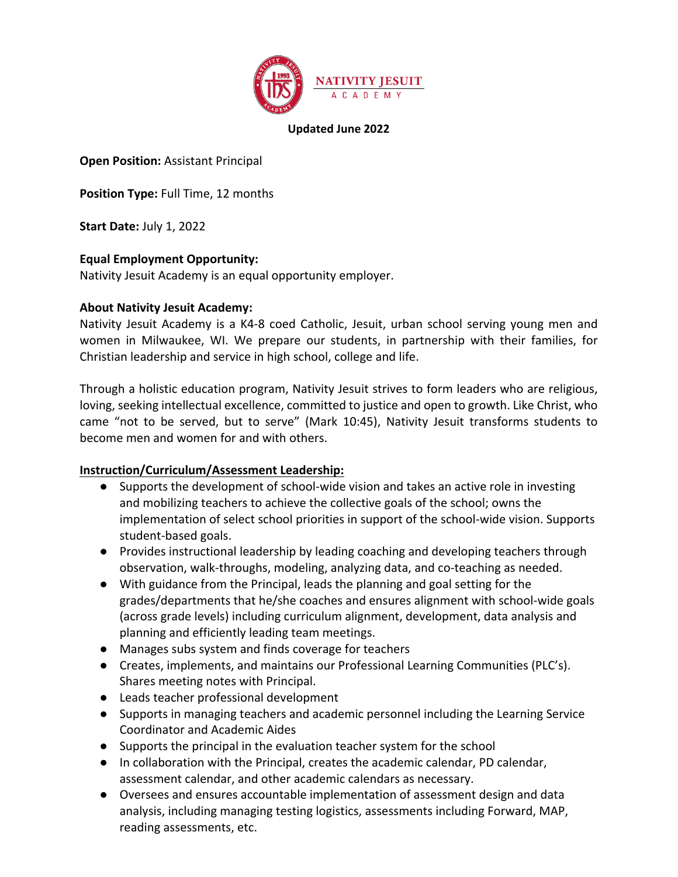

#### **Updated June 2022**

**Open Position:** Assistant Principal

**Position Type: Full Time, 12 months** 

**Start Date:** July 1, 2022

### **Equal Employment Opportunity:**

Nativity Jesuit Academy is an equal opportunity employer.

#### **About Nativity Jesuit Academy:**

Nativity Jesuit Academy is a K4-8 coed Catholic, Jesuit, urban school serving young men and women in Milwaukee, WI. We prepare our students, in partnership with their families, for Christian leadership and service in high school, college and life.

Through a holistic education program, Nativity Jesuit strives to form leaders who are religious, loving, seeking intellectual excellence, committed to justice and open to growth. Like Christ, who came "not to be served, but to serve" (Mark 10:45), Nativity Jesuit transforms students to become men and women for and with others.

#### **Instruction/Curriculum/Assessment Leadership:**

- Supports the development of school-wide vision and takes an active role in investing and mobilizing teachers to achieve the collective goals of the school; owns the implementation of select school priorities in support of the school-wide vision. Supports student-based goals.
- Provides instructional leadership by leading coaching and developing teachers through observation, walk-throughs, modeling, analyzing data, and co-teaching as needed.
- With guidance from the Principal, leads the planning and goal setting for the grades/departments that he/she coaches and ensures alignment with school-wide goals (across grade levels) including curriculum alignment, development, data analysis and planning and efficiently leading team meetings.
- Manages subs system and finds coverage for teachers
- Creates, implements, and maintains our Professional Learning Communities (PLC's). Shares meeting notes with Principal.
- Leads teacher professional development
- Supports in managing teachers and academic personnel including the Learning Service Coordinator and Academic Aides
- Supports the principal in the evaluation teacher system for the school
- In collaboration with the Principal, creates the academic calendar, PD calendar, assessment calendar, and other academic calendars as necessary.
- Oversees and ensures accountable implementation of assessment design and data analysis, including managing testing logistics, assessments including Forward, MAP, reading assessments, etc.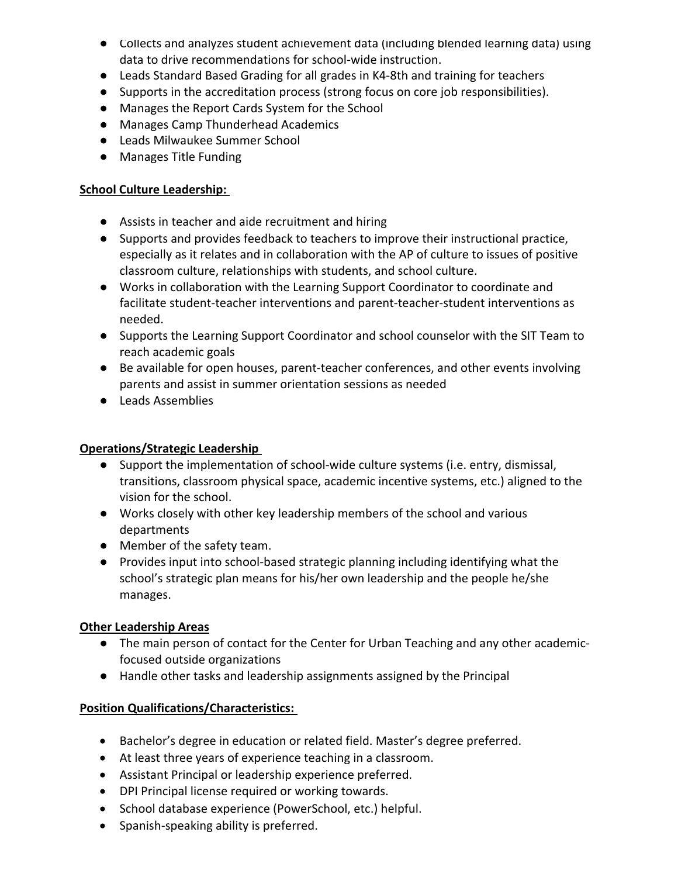- Collects and analyzes student achievement data (including blended learning data) using data to drive recommendations for school-wide instruction.
- Leads Standard Based Grading for all grades in K4-8th and training for teachers
- Supports in the accreditation process (strong focus on core job responsibilities).
- Manages the Report Cards System for the School
- Manages Camp Thunderhead Academics
- Leads Milwaukee Summer School
- Manages Title Funding

### **School Culture Leadership:**

- Assists in teacher and aide recruitment and hiring
- Supports and provides feedback to teachers to improve their instructional practice, especially as it relates and in collaboration with the AP of culture to issues of positive classroom culture, relationships with students, and school culture.
- Works in collaboration with the Learning Support Coordinator to coordinate and facilitate student-teacher interventions and parent-teacher-student interventions as needed.
- Supports the Learning Support Coordinator and school counselor with the SIT Team to reach academic goals
- Be available for open houses, parent-teacher conferences, and other events involving parents and assist in summer orientation sessions as needed
- Leads Assemblies

# **Operations/Strategic Leadership**

- Support the implementation of school-wide culture systems (i.e. entry, dismissal, transitions, classroom physical space, academic incentive systems, etc.) aligned to the vision for the school.
- Works closely with other key leadership members of the school and various departments
- Member of the safety team.
- Provides input into school-based strategic planning including identifying what the school's strategic plan means for his/her own leadership and the people he/she manages.

# **Other Leadership Areas**

- The main person of contact for the Center for Urban Teaching and any other academicfocused outside organizations
- Handle other tasks and leadership assignments assigned by the Principal

# **Position Qualifications/Characteristics:**

- Bachelor's degree in education or related field. Master's degree preferred.
- At least three years of experience teaching in a classroom.
- Assistant Principal or leadership experience preferred.
- DPI Principal license required or working towards.
- School database experience (PowerSchool, etc.) helpful.
- Spanish-speaking ability is preferred.